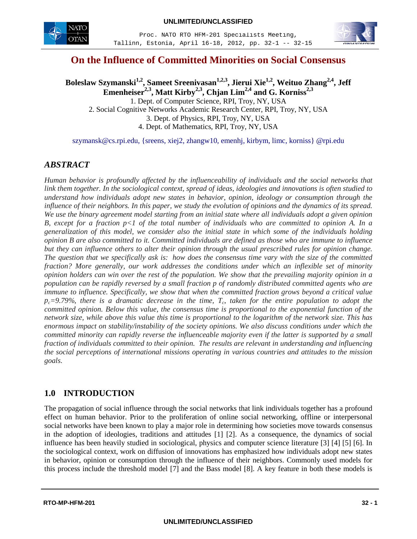

 Proc. NATO RTO HFM-201 Specialists Meeting, Tallinn, Estonia, April 16-18, 2012, pp. 32-1 -- 32-15



# **On the Influence of Committed Minorities on Social Consensus**

Boleslaw Szymanski<sup>1,2</sup>, Sameet Sreenivasan<sup>1,2,3</sup>, Jierui Xie<sup>1,2</sup>, Weituo Zhang<sup>2,4</sup>, Jeff **Emenheiser2,3 , Matt Kirby2,3 , Chjan Lim2,4 and G. Korniss2,3** 1. Dept. of Computer Science, RPI, Troy, NY, USA

2. Social Cognitive Networks Academic Research Center, RPI, Troy, NY, USA 3. Dept. of Physics, RPI, Troy, NY, USA 4. Dept. of Mathematics, RPI, Troy, NY, USA

szymansk@cs.rpi.edu, {sreens, xiej2, zhangw10, emenhj, kirbym, limc, korniss} @rpi.edu

## *ABSTRACT*

*Human behavior is profoundly affected by the influenceability of individuals and the social networks that link them together. In the sociological context, spread of ideas, ideologies and innovations is often studied to understand how individuals adopt new states in behavior, opinion, ideology or consumption through the influence of their neighbors. In this paper, we study the evolution of opinions and the dynamics of its spread. We use the binary agreement model starting from an initial state where all individuals adopt a given opinion B, except for a fraction p<1 of the total number of individuals who are committed to opinion A. In a generalization of this model, we consider also the initial state in which some of the individuals holding opinion B are also committed to it. Committed individuals are defined as those who are immune to influence but they can influence others to alter their opinion through the usual prescribed rules for opinion change. The question that we specifically ask is: how does the consensus time vary with the size of the committed fraction? More generally, our work addresses the conditions under which an inflexible set of minority opinion holders can win over the rest of the population. We show that the prevailing majority opinion in a population can be rapidly reversed by a small fraction p of randomly distributed committed agents who are immune to influence. Specifically, we show that when the committed fraction grows beyond a critical value*   $p_c=9.79\%$ , there is a dramatic decrease in the time,  $T_c$ , taken for the entire population to adopt the *committed opinion. Below this value, the consensus time is proportional to the exponential function of the network size, while above this value this time is proportional to the logarithm of the network size. This has enormous impact on stability/instability of the society opinions. We also discuss conditions under which the committed minority can rapidly reverse the influenceable majority even if the latter is supported by a small fraction of individuals committed to their opinion. The results are relevant in understanding and influencing the social perceptions of international missions operating in various countries and attitudes to the mission goals.*

## **1.0 INTRODUCTION**

The propagation of social influence through the social networks that link individuals together has a profound effect on human behavior. Prior to the proliferation of online social networking, offline or interpersonal social networks have been known to play a major role in determining how societies move towards consensus in the adoption of ideologies, traditions and attitudes [1] [2]. As a consequence, the dynamics of social influence has been heavily studied in sociological, physics and computer science literature [3] [4] [5] [6]. In the sociological context, work on diffusion of innovations has emphasized how individuals adopt new states in behavior, opinion or consumption through the influence of their neighbors. Commonly used models for this process include the threshold model [7] and the Bass model [8]. A key feature in both these models is

**UNLIMITED/UNCLASSIFIED**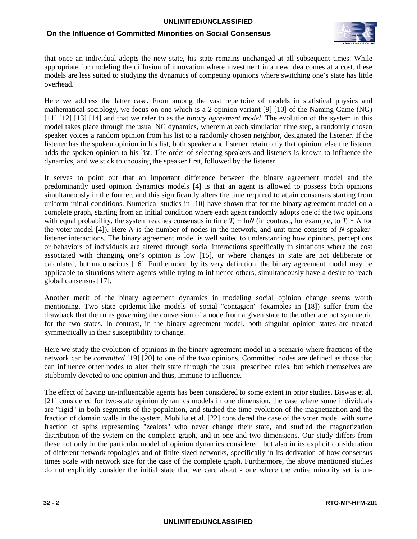

that once an individual adopts the new state, his state remains unchanged at all subsequent times. While appropriate for modeling the diffusion of innovation where investment in a new idea comes at a cost, these models are less suited to studying the dynamics of competing opinions where switching one's state has little overhead.

Here we address the latter case. From among the vast repertoire of models in statistical physics and mathematical sociology, we focus on one which is a 2-opinion variant [9] [10] of the Naming Game (NG) [11] [12] [13] [14] and that we refer to as the *binary agreement model*. The evolution of the system in this model takes place through the usual NG dynamics, wherein at each simulation time step, a randomly chosen speaker voices a random opinion from his list to a randomly chosen neighbor, designated the listener. If the listener has the spoken opinion in his list, both speaker and listener retain only that opinion; else the listener adds the spoken opinion to his list. The order of selecting speakers and listeners is known to influence the dynamics, and we stick to choosing the speaker first, followed by the listener.

It serves to point out that an important difference between the binary agreement model and the predominantly used opinion dynamics models [4] is that an agent is allowed to possess both opinions simultaneously in the former, and this significantly alters the time required to attain consensus starting from uniform initial conditions. Numerical studies in [10] have shown that for the binary agreement model on a complete graph, starting from an initial condition where each agent randomly adopts one of the two opinions with equal probability, the system reaches consensus in time  $T_c \sim \ln N$  (in contrast, for example, to  $T_c \sim N$  for the voter model [4]). Here *N* is the number of nodes in the network, and unit time consists of *N* speakerlistener interactions. The binary agreement model is well suited to understanding how opinions, perceptions or behaviors of individuals are altered through social interactions specifically in situations where the cost associated with changing one's opinion is low [15], or where changes in state are not deliberate or calculated, but unconscious [16]. Furthermore, by its very definition, the binary agreement model may be applicable to situations where agents while trying to influence others, simultaneously have a desire to reach global consensus [17].

Another merit of the binary agreement dynamics in modeling social opinion change seems worth mentioning. Two state epidemic-like models of social "contagion" (examples in [18]) suffer from the drawback that the rules governing the conversion of a node from a given state to the other are not symmetric for the two states. In contrast, in the binary agreement model, both singular opinion states are treated symmetrically in their susceptibility to change.

Here we study the evolution of opinions in the binary agreement model in a scenario where fractions of the network can be *committed* [19] [20] to one of the two opinions. Committed nodes are defined as those that can influence other nodes to alter their state through the usual prescribed rules, but which themselves are stubbornly devoted to one opinion and thus, immune to influence.

The effect of having un-influencable agents has been considered to some extent in prior studies. Biswas et al. [21] considered for two-state opinion dynamics models in one dimension, the case where some individuals are "rigid" in both segments of the population, and studied the time evolution of the magnetization and the fraction of domain walls in the system. Mobilia et al. [22] considered the case of the voter model with some fraction of spins representing "zealots" who never change their state, and studied the magnetization distribution of the system on the complete graph, and in one and two dimensions. Our study differs from these not only in the particular model of opinion dynamics considered, but also in its explicit consideration of different network topologies and of finite sized networks, specifically in its derivation of how consensus times scale with network size for the case of the complete graph. Furthermore, the above mentioned studies do not explicitly consider the initial state that we care about - one where the entire minority set is un-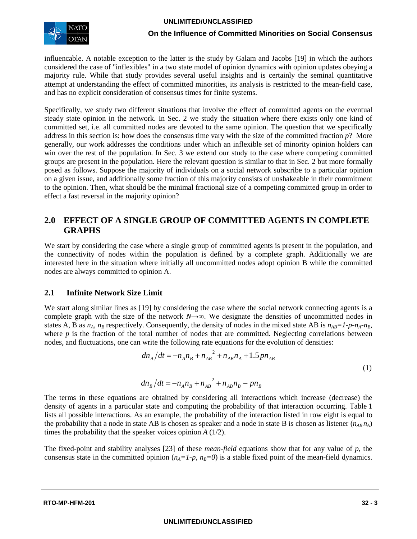

influencable. A notable exception to the latter is the study by Galam and Jacobs [19] in which the authors considered the case of "inflexibles" in a two state model of opinion dynamics with opinion updates obeying a majority rule. While that study provides several useful insights and is certainly the seminal quantitative attempt at understanding the effect of committed minorities, its analysis is restricted to the mean-field case, and has no explicit consideration of consensus times for finite systems.

Specifically, we study two different situations that involve the effect of committed agents on the eventual steady state opinion in the network. In Sec. 2 we study the situation where there exists only one kind of committed set, i.e. all committed nodes are devoted to the same opinion. The question that we specifically address in this section is: how does the consensus time vary with the size of the committed fraction *p*? More generally, our work addresses the conditions under which an inflexible set of minority opinion holders can win over the rest of the population. In Sec. 3 we extend our study to the case where competing committed groups are present in the population. Here the relevant question is similar to that in Sec. 2 but more formally posed as follows. Suppose the majority of individuals on a social network subscribe to a particular opinion on a given issue, and additionally some fraction of this majority consists of unshakeable in their commitment to the opinion. Then, what should be the minimal fractional size of a competing committed group in order to effect a fast reversal in the majority opinion?

## **2.0 EFFECT OF A SINGLE GROUP OF COMMITTED AGENTS IN COMPLETE GRAPHS**

We start by considering the case where a single group of committed agents is present in the population, and the connectivity of nodes within the population is defined by a complete graph. Additionally we are interested here in the situation where initially all uncommitted nodes adopt opinion B while the committed nodes are always committed to opinion A.

## **2.1 Infinite Network Size Limit**

We start along similar lines as [19] by considering the case where the social network connecting agents is a complete graph with the size of the network *N*→∞. We designate the densities of uncommitted nodes in states A, B as  $n_A$ ,  $n_B$  respectively. Consequently, the density of nodes in the mixed state AB is  $n_{AB}=1-p-n_A-n_B$ , where  $p$  is the fraction of the total number of nodes that are committed. Neglecting correlations between nodes, and fluctuations, one can write the following rate equations for the evolution of densities:

$$
dn_A/dt = -n_A n_B + n_{AB}^2 + n_{AB}n_A + 1.5 p n_{AB}
$$
  
(1)  

$$
dn_B/dt = -n_A n_B + n_{AB}^2 + n_{AB}n_B - p n_B
$$

The terms in these equations are obtained by considering all interactions which increase (decrease) the density of agents in a particular state and computing the probability of that interaction occurring. Table 1 lists all possible interactions. As an example, the probability of the interaction listed in row eight is equal to the probability that a node in state AB is chosen as speaker and a node in state B is chosen as listener 
$$
(n_{AB}n_A)
$$
 times the probability that the speaker vocies opinion  $A(1/2)$ .

The fixed-point and stability analyses [23] of these *mean-field* equations show that for any value of *p*, the consensus state in the committed opinion  $(n_A=1-p, n_B=0)$  is a stable fixed point of the mean-field dynamics.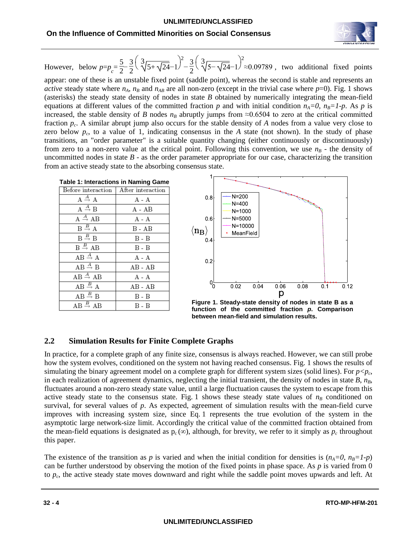

However, below  $p=p_c = \frac{5}{2} - \frac{3}{2} \left( \sqrt[3]{5 + \sqrt{24}} - 1 \right)$  $\frac{2}{2} \left( \sqrt[3]{5-\sqrt{24}}-1 \right)$ 2 ≈0.09789 , two additional fixed points

appear: one of these is an unstable fixed point (saddle point), whereas the second is stable and represents an *active* steady state where  $n_A$ ,  $n_B$  and  $n_{AB}$  are all non-zero (except in the trivial case where  $p=0$ ). Fig. 1 shows (asterisks) the steady state density of nodes in state *B* obtained by numerically integrating the mean-field equations at different values of the committed fraction *p* and with initial condition  $n_A=0$ ,  $n_B=1-p$ . As *p* is increased, the stable density of *B* nodes  $n_B$  abruptly jumps from ≈0.6504 to zero at the critical committed fraction *pc*. A similar abrupt jump also occurs for the stable density of *A* nodes from a value very close to zero below  $p_c$ , to a value of 1, indicating consensus in the *A* state (not shown). In the study of phase transitions, an "order parameter" is a suitable quantity changing (either continuously or discontinuously) from zero to a non-zero value at the critical point. Following this convention, we use  $n<sub>B</sub>$  - the density of uncommitted nodes in state  $B$  - as the order parameter appropriate for our case, characterizing the transition from an active steady state to the absorbing consensus state.

| <b>Table 1: Interactions in Naming Game</b>            |           |  |
|--------------------------------------------------------|-----------|--|
| Before interaction   After interaction                 |           |  |
| $A \stackrel{A}{\rightarrow} A$                        | A - A     |  |
| $A \stackrel{A}{\rightarrow} B$                        | A - AB    |  |
| $\overline{A} \stackrel{A}{\rightarrow} \overline{AB}$ | $A - A$   |  |
| $B \stackrel{B}{\rightarrow} A$                        | B - AB    |  |
| $B \stackrel{B}{\rightarrow} B$                        | B - B     |  |
| $B \stackrel{B}{\rightarrow} AB$                       | B - B     |  |
| $\overline{AB} \stackrel{A}{\rightarrow} A$            | $A - A$   |  |
| $AB \stackrel{A}{\rightarrow} B$                       | $AB - AB$ |  |
| $AB \stackrel{A}{\rightarrow} AB$                      | A - A     |  |
| $AB \stackrel{B}{\rightarrow} A$                       | $AB - AB$ |  |
| $AB \stackrel{B}{\rightarrow} B$                       | B - B     |  |
| $AB \stackrel{B}{\rightarrow} AB$                      | B - B     |  |



**Figure 1. Steady-state density of nodes in state B as a function of the committed fraction** *p***. Comparison between mean-field and simulation results.**

## **2.2 Simulation Results for Finite Complete Graphs**

In practice, for a complete graph of any finite size, consensus is always reached. However, we can still probe how the system evolves, conditioned on the system not having reached consensus. Fig. 1 shows the results of simulating the binary agreement model on a complete graph for different system sizes (solid lines). For  $p < p_c$ , in each realization of agreement dynamics, neglecting the initial transient, the density of nodes in state  $B$ ,  $n_B$ , fluctuates around a non-zero steady state value, until a large fluctuation causes the system to escape from this active steady state to the consensus state. Fig. 1 shows these steady state values of  $n<sub>B</sub>$  conditioned on survival, for several values of *p*. As expected, agreement of simulation results with the mean-field curve improves with increasing system size, since Eq. 1 represents the true evolution of the system in the asymptotic large network-size limit. Accordingly the critical value of the committed fraction obtained from the mean-field equations is designated as  $p_c(\infty)$ , although, for brevity, we refer to it simply as  $p_c$  throughout this paper.

The existence of the transition as *p* is varied and when the initial condition for densities is  $(n_A=0, n_B=1-p)$ can be further understood by observing the motion of the fixed points in phase space. As *p* is varied from 0 to *pc*, the active steady state moves downward and right while the saddle point moves upwards and left. At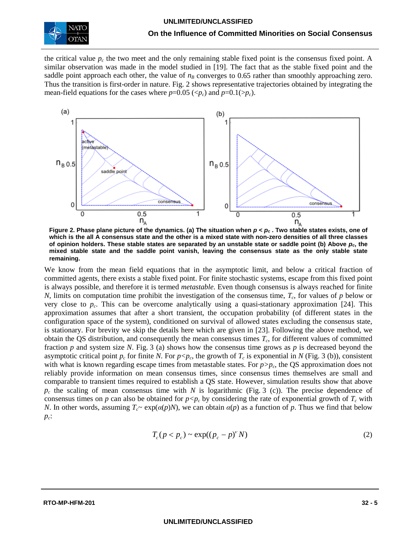

the critical value  $p_c$  the two meet and the only remaining stable fixed point is the consensus fixed point. A similar observation was made in the model studied in [19]. The fact that as the stable fixed point and the saddle point approach each other, the value of  $n<sub>B</sub>$  converges to 0.65 rather than smoothly approaching zero. Thus the transition is first-order in nature. Fig. 2 shows representative trajectories obtained by integrating the mean-field equations for the cases where  $p=0.05 \, (\langle p_c \rangle)$  and  $p=0.1(\rangle p_c)$ .



**Figure 2. Phase plane picture of the dynamics. (a) The situation when** *p < pc* **. Two stable states exists, one of which is the all A consensus state and the other is a mixed state with non-zero densities of all three classes**  of opinion holders. These stable states are separated by an unstable state or saddle point (b) Above  $p_c$ , the **mixed stable state and the saddle point vanish, leaving the consensus state as the only stable state remaining.**

We know from the mean field equations that in the asymptotic limit, and below a critical fraction of committed agents, there exists a stable fixed point. For finite stochastic systems, escape from this fixed point is always possible, and therefore it is termed *metastable*. Even though consensus is always reached for finite *N*, limits on computation time prohibit the investigation of the consensus time,  $T_c$ , for values of *p* below or very close to *pc*. This can be overcome analytically using a quasi-stationary approximation [24]. This approximation assumes that after a short transient, the occupation probability (of different states in the configuration space of the system), conditioned on survival of allowed states excluding the consensus state, is stationary. For brevity we skip the details here which are given in [23]. Following the above method, we obtain the QS distribution, and consequently the mean consensus times  $T_c$ , for different values of committed fraction *p* and system size *N*. Fig. 3 (a) shows how the consensus time grows as *p* is decreased beyond the asymptotic critical point  $p_c$  for finite *N*. For  $p < p_c$ , the growth of  $T_c$  is exponential in *N* (Fig. 3 (b)), consistent with what is known regarding escape times from metastable states. For  $p > p_c$ , the QS approximation does not reliably provide information on mean consensus times, since consensus times themselves are small and comparable to transient times required to establish a QS state. However, simulation results show that above  $p_c$  the scaling of mean consensus time with *N* is logarithmic (Fig. 3 (c)). The precise dependence of consensus times on *p* can also be obtained for  $p < p_c$  by considering the rate of exponential growth of  $T_c$  with *N*. In other words, assuming  $T_c \sim \exp(\alpha(p)N)$ , we can obtain  $\alpha(p)$  as a function of *p*. Thus we find that below *pc*:

$$
T_c(p < p_c) \sim \exp((p_c - p)^{\nu} N) \tag{2}
$$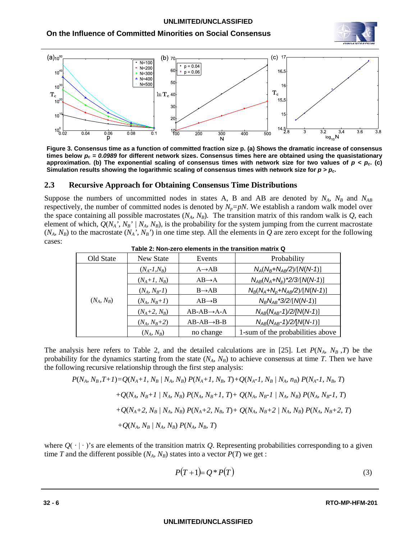



**Figure 3. Consensus time as a function of committed fraction size p. (a) Shows the dramatic increase of consensus times below** *pc = 0.0989* **for different network sizes. Consensus times here are obtained using the quasistationary**  approximation. (b) The exponential scaling of consensus times with network size for two values of  $p < p_c$ . (c) Simulation results showing the logarithmic scaling of consensus times with network size for  $p > p_c$ .

#### **2.3 Recursive Approach for Obtaining Consensus Time Distributions**

Suppose the numbers of uncommitted nodes in states A, B and AB are denoted by  $N_A$ ,  $N_B$  and  $N_{AB}$ respectively, the number of committed nodes is denoted by  $N_p = pN$ . We establish a random walk model over the space containing all possible macrostates  $(N_A, N_B)$ . The transition matrix of this random walk is  $Q$ , each element of which,  $Q(N_A, N_B)' / N_A, N_B$ , is the probability for the system jumping from the current macrostate  $(N_A, N_B)$  to the macrostate  $(N_A, N_B')$  in one time step. All the elements in  $Q$  are zero except for the following cases:

| Old State    | New State        | Events                 | Probability                      |
|--------------|------------------|------------------------|----------------------------------|
|              | $(N_A - 1, N_B)$ | $A \rightarrow AB$     | $N_A(N_B+N_{AB}/2)/[N(N-1)]$     |
|              | $(N_A+1, N_B)$   | $AB \rightarrow A$     | $N_{AB}(N_A+N_p)$ *2/3/[N(N-1)]  |
|              | $(N_A, N_B-1)$   | $B \rightarrow AB$     | $N_B(N_A+N_p+N_{AB}/2)/[N(N-1)]$ |
| $(N_A, N_B)$ | $(N_A, N_B+1)$   | $AB \rightarrow B$     | $N_B N_{AB}$ *3/2/[N(N-1)]       |
|              | $(N_A+2, N_B)$   | $AB-AB\rightarrow A-A$ | $N_{AB}(N_{AB}-1)/2/[N(N-1)]$    |
|              | $(N_A, N_B + 2)$ | $AB-AB\rightarrow B-B$ | $N_{AB}(N_{AB}-1)/2 \{N(N-I)\}$  |
|              | $(N_A, N_B)$     | no change              | 1-sum of the probabilities above |

**Table 2: Non-zero elements in the transition matrix Q**

The analysis here refers to Table 2, and the detailed calculations are in [25]. Let  $P(N_A, N_B, T)$  be the probability for the dynamics starting from the state  $(N_A, N_B)$  to achieve consensus at time *T*. Then we have the following recursive relationship through the first step analysis:

$$
P(N_A, N_B, T+1) = Q(N_A+1, N_B / N_A, N_B) P(N_A+1, N_B, T) + Q(N_A-1, N_B / N_A, n_B) P(N_A-1, N_B, T)
$$
  
+  $Q(N_A, N_B+1 / N_A, N_B) P(N_A, N_B+1, T) + Q(N_A, N_B-1 / N_A, N_B) P(N_A, N_B-1, T)$   
+  $Q(N_A+2, N_B / N_A, N_B) P(N_A+2, N_B, T) + Q(N_A, N_B+2 / N_A, N_B) P(N_A, N_B+2, T)$   
+  $Q(N_A, N_B / N_A, N_B) P(N_A, N_B, T)$ 

where  $Q(\cdot | \cdot)$ 's are elements of the transition matrix *Q*. Representing probabilities corresponding to a given time *T* and the different possible  $(N_A, N_B)$  states into a vector  $P(T)$  we get :

$$
P(T+1) = Q * P(T) \tag{3}
$$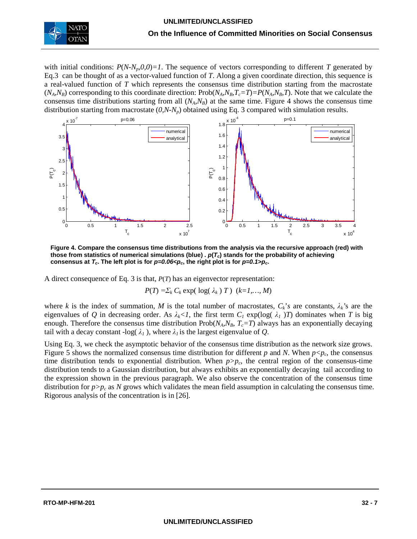

with initial conditions:  $P(N-N_p,0,0)=1$ . The sequence of vectors corresponding to different *T* generated by Eq.3 can be thought of as a vector-valued function of *T*. Along a given coordinate direction, this sequence is a real-valued function of *T* which represents the consensus time distribution starting from the macrostate  $(N_A, N_B)$  corresponding to this coordinate direction:  $Prob(N_A, N_B, T_c = T) = P(N_A, N_B, T)$ . Note that we calculate the consensus time distributions starting from all  $(N_A, N_B)$  at the same time. Figure 4 shows the consensus time distribution starting from macrostate  $(0, N-N_n)$  obtained using Eq. 3 compared with simulation results.



**Figure 4. Compare the consensus time distributions from the analysis via the recursive approach (red) with those from statistics of numerical simulations (blue) .** *p***(***Tc***) stands for the probability of achieving**  consensus at  $T_c$ . The left plot is for  $p=0.06 < p_c$ , the right plot is for  $p=0.1>p_c$ .

A direct consequence of Eq. 3 is that, *P*(*T*) has an eigenvector representation:

$$
P(T) = \sum_k C_k \exp(\log(\lambda_k) T) \ (k=1,\ldots,M)
$$

where *k* is the index of summation, *M* is the total number of macrostates,  $C_k$ '*s* are constants,  $\lambda_k$ 's are the eigenvalues of Q in decreasing order. As  $\lambda_k < 1$ , the first term  $C_1$  exp(log(  $\lambda_1$ )T) dominates when T is big enough. Therefore the consensus time distribution  $Prob(N_A, N_B, T_c = T)$  always has an exponentially decaying tail with a decay constant  $-\log(\lambda_1)$ , where  $\lambda_1$  is the largest eigenvalue of *Q*.

Using Eq. 3, we check the asymptotic behavior of the consensus time distribution as the network size grows. Figure 5 shows the normalized consensus time distribution for different *p* and *N*. When  $p < p_c$ , the consensus time distribution tends to exponential distribution. When  $p > p_c$ , the central region of the consensus-time distribution tends to a Gaussian distribution, but always exhibits an exponentially decaying tail according to the expression shown in the previous paragraph. We also observe the concentration of the consensus time distribution for  $p > p_c$  as *N* grows which validates the mean field assumption in calculating the consensus time. Rigorous analysis of the concentration is in [26].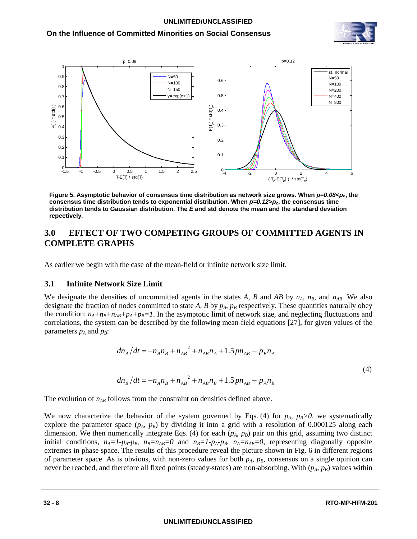#### **UNLIMITED/UNCLASSIFIED**

## **On the Influence of Committed Minorities on Social Consensus**





**Figure 5. Asymptotic behavior of consensus time distribution as network size grows. When**  $p=0.08 < p<sub>c</sub>$ **, the consensus time distribution tends to exponential distribution. When** *p=0.12>pc***, the consensus time distribution tends to Gaussian distribution. The** *E* **and std denote the mean and the standard deviation repectively.**

## **3.0 EFFECT OF TWO COMPETING GROUPS OF COMMITTED AGENTS IN COMPLETE GRAPHS**

As earlier we begin with the case of the mean-field or infinite network size limit.

#### **3.1 Infinite Network Size Limit**

We designate the densities of uncommitted agents in the states *A*, *B* and *AB* by  $n_A$ ,  $n_B$ , and  $n_{AB}$ . We also designate the fraction of nodes committed to state A, B by  $p_A$ ,  $p_B$  respectively. These quantities naturally obey the condition:  $n_A+n_B+n_{AB}+p_A+p_B=1$ . In the asymptotic limit of network size, and neglecting fluctuations and correlations, the system can be described by the following mean-field equations [27], for given values of the parameters  $p_A$  and  $p_B$ :

$$
dn_A/dt = -n_A n_B + n_{AB}^2 + n_{AB} n_A + 1.5 p n_{AB} - p_B n_A
$$
  

$$
dn_B/dt = -n_A n_B + n_{AB}^2 + n_{AB} n_B + 1.5 p n_{AB} - p_A n_B
$$
 (4)

The evolution of  $n_{AB}$  follows from the constraint on densities defined above.

We now characterize the behavior of the system governed by Eqs. (4) for  $p_A$ ,  $p_B>0$ , we systematically explore the parameter space  $(p_A, p_B)$  by dividing it into a grid with a resolution of 0.000125 along each dimension. We then numerically integrate Eqs. (4) for each  $(p_A, p_B)$  pair on this grid, assuming two distinct initial conditions,  $n_A = 1 - p_A - p_B$ ,  $n_B = n_{AB} = 0$  and  $n_B = 1 - p_A - p_B$ ,  $n_A = n_{AB} = 0$ , representing diagonally opposite extremes in phase space. The results of this procedure reveal the picture shown in Fig. 6 in different regions of parameter space. As is obvious, with non-zero values for both  $p_A$ ,  $p_B$ , consensus on a single opinion can never be reached, and therefore all fixed points (steady-states) are non-absorbing. With  $(p_A, p_B)$  values within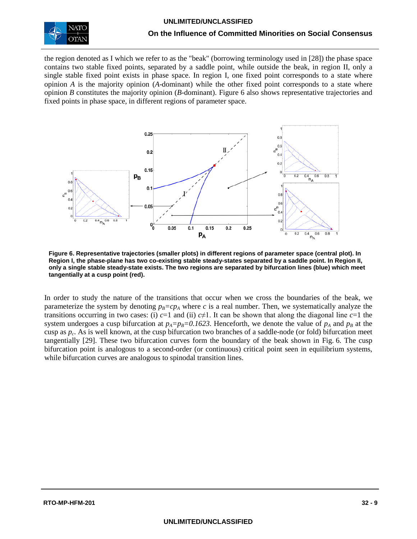

the region denoted as I which we refer to as the "beak" (borrowing terminology used in [28]) the phase space contains two stable fixed points, separated by a saddle point, while outside the beak, in region II, only a single stable fixed point exists in phase space. In region I, one fixed point corresponds to a state where opinion *A* is the majority opinion (*A*-dominant) while the other fixed point corresponds to a state where opinion *B* constitutes the majority opinion (*B*-dominant). Figure 6 also shows representative trajectories and fixed points in phase space, in different regions of parameter space.



**Figure 6. Representative trajectories (smaller plots) in different regions of parameter space (central plot). In Region I, the phase-plane has two co-existing stable steady-states separated by a saddle point. In Region II, only a single stable steady-state exists. The two regions are separated by bifurcation lines (blue) which meet tangentially at a cusp point (red).**

In order to study the nature of the transitions that occur when we cross the boundaries of the beak, we parameterize the system by denoting  $p_B = cp_A$  where *c* is a real number. Then, we systematically analyze the transitions occurring in two cases: (i)  $c=1$  and (ii)  $c\neq 1$ . It can be shown that along the diagonal line  $c=1$  the system undergoes a cusp bifurcation at  $p_A=p_B=0.1623$ . Henceforth, we denote the value of  $p_A$  and  $p_B$  at the cusp as *pc*. As is well known, at the cusp bifurcation two branches of a saddle-node (or fold) bifurcation meet tangentially [29]. These two bifurcation curves form the boundary of the beak shown in Fig. 6. The cusp bifurcation point is analogous to a second-order (or continuous) critical point seen in equilibrium systems, while bifurcation curves are analogous to spinodal transition lines.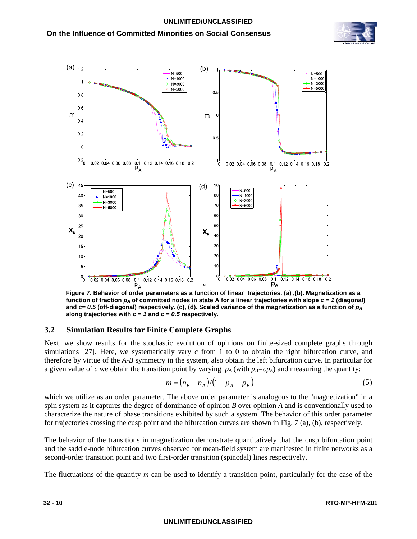**On the Influence of Committed Minorities on Social Consensus** 





**Figure 7. Behavior of order parameters as a function of linear trajectories. (a) ,(b). Magnetization as a**  function of fraction  $p_A$  of committed nodes in state A for a linear trajectories with slope  $c = 1$  (diagonal) and  $c = 0.5$  (off-diagonal) respectively. (c), (d). Scaled variance of the magnetization as a function of  $p_A$ **along trajectories with** *c = 1* **and** *c = 0.5* **respectively.**

### **3.2 Simulation Results for Finite Complete Graphs**

Next, we show results for the stochastic evolution of opinions on finite-sized complete graphs through simulations [27]. Here, we systematically vary *c* from 1 to 0 to obtain the right bifurcation curve, and therefore by virtue of the *A*-*B* symmetry in the system, also obtain the left bifurcation curve. In particular for a given value of *c* we obtain the transition point by varying  $p_A$  (with  $p_B = cp_A$ ) and measuring the quantity:

$$
m = (n_B - n_A)/(1 - p_A - p_B)
$$
 (5)

which we utilize as an order parameter. The above order parameter is analogous to the "magnetization" in a spin system as it captures the degree of dominance of opinion *B* over opinion *A* and is conventionally used to characterize the nature of phase transitions exhibited by such a system. The behavior of this order parameter for trajectories crossing the cusp point and the bifurcation curves are shown in Fig. 7 (a), (b), respectively.

The behavior of the transitions in magnetization demonstrate quantitatively that the cusp bifurcation point and the saddle-node bifurcation curves observed for mean-field system are manifested in finite networks as a second-order transition point and two first-order transition (spinodal) lines respectively.

The fluctuations of the quantity *m* can be used to identify a transition point, particularly for the case of the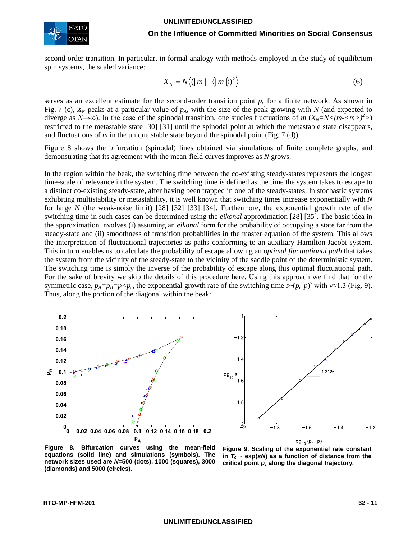

second-order transition. In particular, in formal analogy with methods employed in the study of equilibrium spin systems, the scaled variance:

$$
X_N = N \langle (|m| - \langle |m| \rangle)^2 \rangle \tag{6}
$$

serves as an excellent estimate for the second-order transition point  $p_c$  for a finite network. As shown in Fig. 7 (c),  $X_N$  peaks at a particular value of  $p_A$ , with the size of the peak growing with N (and expected to diverge as *N*→∞). In the case of the spinodal transition, one studies fluctuations of *m* ( $X_N = N < (m - < m >)^2$ ) restricted to the metastable state [30] [31] until the spinodal point at which the metastable state disappears, and fluctuations of *m* in the unique stable state beyond the spinodal point (Fig. 7 (d)).

Figure 8 shows the bifurcation (spinodal) lines obtained via simulations of finite complete graphs, and demonstrating that its agreement with the mean-field curves improves as *N* grows.

In the region within the beak, the switching time between the co-existing steady-states represents the longest time-scale of relevance in the system. The switching time is defined as the time the system takes to escape to a distinct co-existing steady-state, after having been trapped in one of the steady-states. In stochastic systems exhibiting multistability or metastability, it is well known that switching times increase exponentially with *N* for large *N* (the weak-noise limit) [28] [32] [33] [34]. Furthermore, the exponential growth rate of the switching time in such cases can be determined using the *eikonal* approximation [28] [35]. The basic idea in the approximation involves (i) assuming an *eikonal* form for the probability of occupying a state far from the steady-state and (ii) smoothness of transition probabilities in the master equation of the system. This allows the interpretation of fluctuational trajectories as paths conforming to an auxiliary Hamilton-Jacobi system. This in turn enables us to calculate the probability of escape allowing an *optimal fluctuational path* that takes the system from the vicinity of the steady-state to the vicinity of the saddle point of the deterministic system. The switching time is simply the inverse of the probability of escape along this optimal fluctuational path. For the sake of brevity we skip the details of this procedure here. Using this approach we find that for the symmetric case,  $p_A = p_B = p \langle p_c$ , the exponential growth rate of the switching time  $s \sim (p_c - p)^v$  with  $v \approx 1.3$  (Fig. 9). Thus, along the portion of the diagonal within the beak:





**Figure 8. Bifurcation curves using the mean-field equations (solid line) and simulations (symbols). The network sizes used are** *N=***500 (dots), 1000 (squares), 3000 (diamonds) and 5000 (circles).** 

**Figure 9. Scaling of the exponential rate constant**  in  $T_c \sim \exp(sM)$  as a function of distance from the **critical point** *pc* **along the diagonal trajectory.**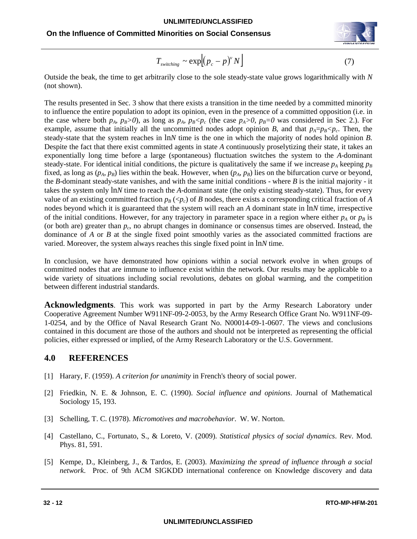

$$
T_{\text{switching}} \sim \exp[(p_c - p)^v N] \tag{7}
$$

Outside the beak, the time to get arbitrarily close to the sole steady-state value grows logarithmically with *N* (not shown).

The results presented in Sec. 3 show that there exists a transition in the time needed by a committed minority to influence the entire population to adopt its opinion, even in the presence of a committed opposition (i.e. in the case where both  $p_A$ ,  $p_B>0$ ), as long as  $p_A$ ,  $p_B< p_c$  (the case  $p_A>0$ ,  $p_B=0$  was considered in Sec 2.). For example, assume that initially all the uncommitted nodes adopt opinion *B*, and that  $p_A = p_B \leq p_c$ . Then, the steady-state that the system reaches in ln*N* time is the one in which the majority of nodes hold opinion *B*. Despite the fact that there exist committed agents in state *A* continuously proselytizing their state, it takes an exponentially long time before a large (spontaneous) fluctuation switches the system to the *A*-dominant steady-state. For identical initial conditions, the picture is qualitatively the same if we increase  $p_A$  keeping  $p_B$ fixed, as long as  $(p_A, p_B)$  lies within the beak. However, when  $(p_A, p_B)$  lies on the bifurcation curve or beyond, the *B*-dominant steady-state vanishes, and with the same initial conditions - where *B* is the initial majority - it takes the system only ln*N* time to reach the *A*-dominant state (the only existing steady-state). Thus, for every value of an existing committed fraction  $p_B (\langle p_c \rangle)$  of *B* nodes, there exists a corresponding critical fraction of *A* nodes beyond which it is guaranteed that the system will reach an *A* dominant state in ln*N* time, irrespective of the initial conditions. However, for any trajectory in parameter space in a region where either  $p_A$  or  $p_B$  is (or both are) greater than  $p_c$ , no abrupt changes in dominance or consensus times are observed. Instead, the dominance of *A* or *B* at the single fixed point smoothly varies as the associated committed fractions are varied. Moreover, the system always reaches this single fixed point in ln*N* time.

In conclusion, we have demonstrated how opinions within a social network evolve in when groups of committed nodes that are immune to influence exist within the network. Our results may be applicable to a wide variety of situations including social revolutions, debates on global warming, and the competition between different industrial standards.

Acknowledgments. This work was supported in part by the Army Research Laboratory under Cooperative Agreement Number W911NF-09-2-0053, by the Army Research Office Grant No. W911NF-09- 1-0254, and by the Office of Naval Research Grant No. N00014-09-1-0607. The views and conclusions contained in this document are those of the authors and should not be interpreted as representing the official policies, either expressed or implied, of the Army Research Laboratory or the U.S. Government.

## **4.0 REFERENCES**

- [1] Harary, F. (1959). *A criterion for unanimity* in French's theory of social power.
- [2] Friedkin, N. E. & Johnson, E. C. (1990). *Social influence and opinions*. Journal of Mathematical Sociology 15, 193.
- [3] Schelling, T. C. (1978). *Micromotives and macrobehavior*. W. W. Norton.
- [4] Castellano, C., Fortunato, S., & Loreto, V. (2009). *Statistical physics of social dynamics*. Rev. Mod. Phys. 81, 591.
- [5] Kempe, D., Kleinberg, J., & Tardos, E. (2003). *Maximizing the spread of influence through a social network*. Proc. of 9th ACM SIGKDD international conference on Knowledge discovery and data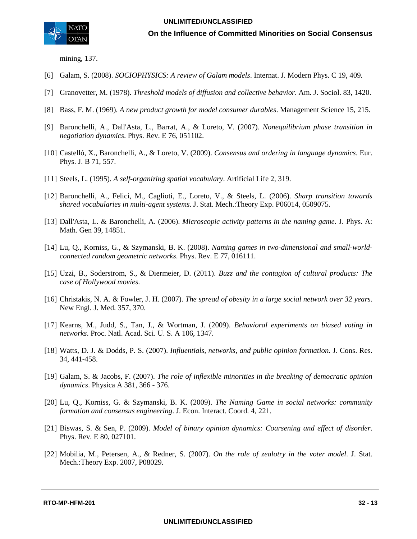

mining, 137.

- [6] Galam, S. (2008). *SOCIOPHYSICS: A review of Galam models*. Internat. J. Modern Phys. C 19, 409.
- [7] Granovetter, M. (1978). *Threshold models of diffusion and collective behavior*. Am. J. Sociol. 83, 1420.
- [8] Bass, F. M. (1969). *A new product growth for model consumer durables*. Management Science 15, 215.
- [9] Baronchelli, A., Dall'Asta, L., Barrat, A., & Loreto, V. (2007). *Nonequilibrium phase transition in negotiation dynamics*. Phys. Rev. E 76, 051102.
- [10] Castelló, X., Baronchelli, A., & Loreto, V. (2009). *Consensus and ordering in language dynamics*. Eur. Phys. J. B 71, 557.
- [11] Steels, L. (1995). *A self-organizing spatial vocabulary*. Artificial Life 2, 319.
- [12] Baronchelli, A., Felici, M., Caglioti, E., Loreto, V., & Steels, L. (2006). *Sharp transition towards shared vocabularies in multi-agent systems*. J. Stat. Mech.:Theory Exp. P06014, 0509075.
- [13] Dall'Asta, L. & Baronchelli, A. (2006). *Microscopic activity patterns in the naming game*. J. Phys. A: Math. Gen 39, 14851.
- [14] Lu, Q., Korniss, G., & Szymanski, B. K. (2008). *Naming games in two-dimensional and small-worldconnected random geometric networks*. Phys. Rev. E 77, 016111.
- [15] Uzzi, B., Soderstrom, S., & Diermeier, D. (2011). *Buzz and the contagion of cultural products: The case of Hollywood movies*.
- [16] Christakis, N. A. & Fowler, J. H. (2007). *The spread of obesity in a large social network over 32 years*. New Engl. J. Med. 357, 370.
- [17] Kearns, M., Judd, S., Tan, J., & Wortman, J. (2009). *Behavioral experiments on biased voting in networks*. Proc. Natl. Acad. Sci. U. S. A 106, 1347.
- [18] Watts, D. J. & Dodds, P. S. (2007). *Influentials, networks, and public opinion formation*. J. Cons. Res. 34, 441-458.
- [19] Galam, S. & Jacobs, F. (2007). *The role of inflexible minorities in the breaking of democratic opinion dynamics*. Physica A 381, 366 - 376.
- [20] Lu, Q., Korniss, G. & Szymanski, B. K. (2009). *The Naming Game in social networks: community formation and consensus engineering*. J. Econ. Interact. Coord. 4, 221.
- [21] Biswas, S. & Sen, P. (2009). *Model of binary opinion dynamics: Coarsening and effect of disorder*. Phys. Rev. E 80, 027101.
- [22] Mobilia, M., Petersen, A., & Redner, S. (2007). *On the role of zealotry in the voter model*. J. Stat. Mech.:Theory Exp. 2007, P08029.